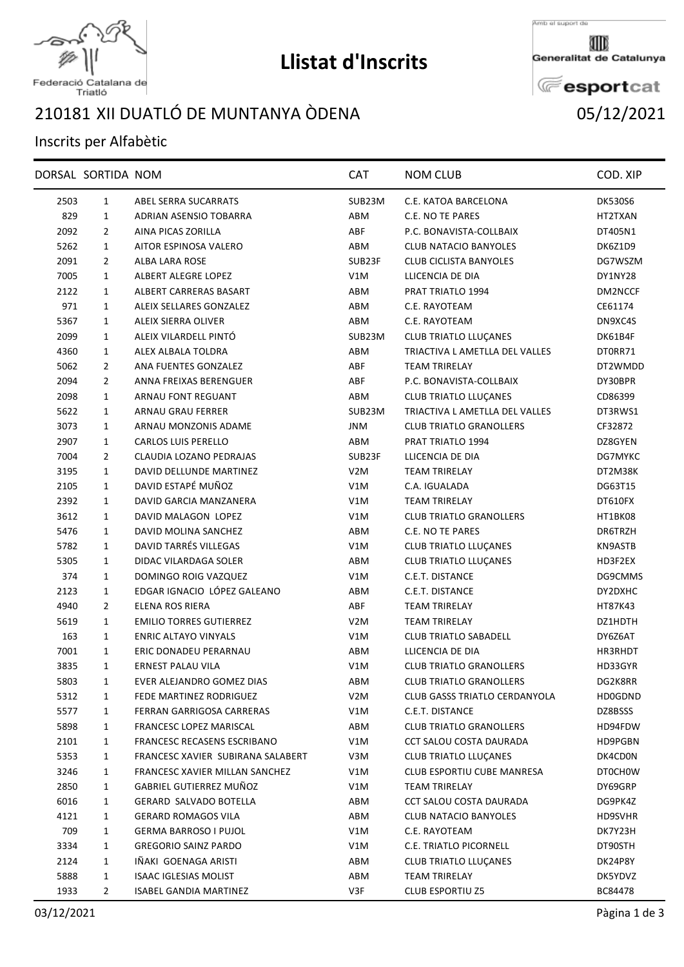

## **Llistat d'Inscrits**

Amb el suport de

Generalitat de Catalunya

**E**esportcat

Federació Catalana de<br>Triatló

## XII DUATLÓ DE MUNTANYA ÒDENA 05/12/2021

## Inscrits per Alfabètic

| 2503<br>$\mathbf{1}$<br>ABEL SERRA SUCARRATS<br>SUB23M<br>C.E. KATOA BARCELONA<br><b>DK530S6</b><br>829<br>$\mathbf{1}$<br>ADRIAN ASENSIO TOBARRA<br>ABM<br>C.E. NO TE PARES<br>HT2TXAN<br>ABF<br>2092<br>2<br>AINA PICAS ZORILLA<br>P.C. BONAVISTA-COLLBAIX<br>DT405N1<br>5262<br>$\mathbf{1}$<br>AITOR ESPINOSA VALERO<br>ABM<br><b>CLUB NATACIO BANYOLES</b><br>DK6Z1D9<br>2091<br>ALBA LARA ROSE<br>SUB23F<br><b>CLUB CICLISTA BANYOLES</b><br>DG7WSZM<br>2<br>7005<br>ALBERT ALEGRE LOPEZ<br>V1M<br>LLICENCIA DE DIA<br>DY1NY28<br>1<br>ALBERT CARRERAS BASART<br>PRAT TRIATLO 1994<br>2122<br>ABM<br>DM2NCCF<br>1<br>971<br>ALEIX SELLARES GONZALEZ<br>ABM<br>C.E. RAYOTEAM<br>CE61174<br>1<br>ABM<br>C.E. RAYOTEAM<br>5367<br>1<br>ALEIX SIERRA OLIVER<br>DN9XC4S<br>ALEIX VILARDELL PINTÓ<br>2099<br>1<br>SUB23M<br><b>CLUB TRIATLO LLUCANES</b><br>DK61B4F<br>4360<br>$\mathbf{1}$<br>ALEX ALBALA TOLDRA<br>ABM<br>TRIACTIVA L AMETLLA DEL VALLES<br>DT0RR71<br>5062<br>$\overline{2}$<br>ANA FUENTES GONZALEZ<br>ABF<br><b>TEAM TRIRELAY</b><br>DT2WMDD<br>$\overline{2}$<br>ANNA FREIXAS BERENGUER<br>ABF<br>P.C. BONAVISTA-COLLBAIX<br>DY30BPR<br>2094<br>2098<br>$\mathbf{1}$<br>ARNAU FONT REGUANT<br>ABM<br><b>CLUB TRIATLO LLUÇANES</b><br>CD86399<br>5622<br>$\mathbf{1}$<br>ARNAU GRAU FERRER<br>SUB23M<br>TRIACTIVA L AMETLLA DEL VALLES<br>DT3RWS1<br>3073<br><b>JNM</b><br><b>CLUB TRIATLO GRANOLLERS</b><br>CF32872<br>1<br>ARNAU MONZONIS ADAME<br>2907<br>$\mathbf{1}$<br><b>CARLOS LUIS PERELLO</b><br>ABM<br>PRAT TRIATLO 1994<br>DZ8GYEN<br>7004<br>$\overline{2}$<br>CLAUDIA LOZANO PEDRAJAS<br>SUB23F<br>LLICENCIA DE DIA<br>DG7MYKC<br>3195<br>$\mathbf{1}$<br>DAVID DELLUNDE MARTINEZ<br>V <sub>2</sub> M<br><b>TEAM TRIRELAY</b><br>DT2M38K<br>DAVID ESTAPÉ MUÑOZ<br>$\mathbf{1}$<br>V1M<br>C.A. IGUALADA<br>2105<br>DG63T15<br>2392<br>$\mathbf{1}$<br>DAVID GARCIA MANZANERA<br>V1M<br><b>TEAM TRIRELAY</b><br>DT610FX<br>3612<br>$\mathbf{1}$<br>DAVID MALAGON LOPEZ<br>V1M<br><b>CLUB TRIATLO GRANOLLERS</b><br>HT1BK08<br>5476<br>DAVID MOLINA SANCHEZ<br>ABM<br>C.E. NO TE PARES<br>DR6TRZH<br>1<br>DAVID TARRÉS VILLEGAS<br>5782<br>$\mathbf{1}$<br>V1M<br><b>CLUB TRIATLO LLUÇANES</b><br>KN9ASTB<br>DIDAC VILARDAGA SOLER<br>ABM<br>CLUB TRIATLO LLUÇANES<br>5305<br>1<br>HD3F2EX<br>374<br>$\mathbf{1}$<br>DOMINGO ROIG VAZQUEZ<br>V1M<br>C.E.T. DISTANCE<br>DG9CMMS<br>EDGAR IGNACIO LÓPEZ GALEANO<br>2123<br>$\mathbf{1}$<br>ABM<br>C.E.T. DISTANCE<br>DY2DXHC<br>4940<br>$\overline{2}$<br>ELENA ROS RIERA<br>ABF<br><b>TEAM TRIRELAY</b><br>HT87K43<br>5619<br><b>EMILIO TORRES GUTIERREZ</b><br>V2M<br><b>TEAM TRIRELAY</b><br>DZ1HDTH<br>1<br>163<br>ENRIC ALTAYO VINYALS<br><b>CLUB TRIATLO SABADELL</b><br>DY6Z6AT<br>1<br>V1M<br>1<br>ERIC DONADEU PERARNAU<br>ABM<br>LLICENCIA DE DIA<br>7001<br>HR3RHDT<br><b>ERNEST PALAU VILA</b><br>3835<br>$\mathbf{1}$<br>V1M<br><b>CLUB TRIATLO GRANOLLERS</b><br>HD33GYR<br>5803<br>EVER ALEJANDRO GOMEZ DIAS<br><b>CLUB TRIATLO GRANOLLERS</b><br>DG2K8RR<br>1<br>ABM<br>V <sub>2</sub> M<br>5312<br>1<br><b>FEDE MARTINEZ RODRIGUEZ</b><br>CLUB GASSS TRIATLO CERDANYOLA<br>HD0GDND<br>V1M<br>5577<br>1<br>FERRAN GARRIGOSA CARRERAS<br>C.E.T. DISTANCE<br>DZ8BSSS<br>5898<br>1<br>FRANCESC LOPEZ MARISCAL<br>ABM<br><b>CLUB TRIATLO GRANOLLERS</b><br>HD94FDW<br>2101<br>1<br>FRANCESC RECASENS ESCRIBANO<br>V1M<br>CCT SALOU COSTA DAURADA<br>HD9PGBN<br>5353<br>$\mathbf{1}$<br>FRANCESC XAVIER SUBIRANA SALABERT<br>V3M<br><b>CLUB TRIATLO LLUÇANES</b><br>DK4CD0N<br>1<br>FRANCESC XAVIER MILLAN SANCHEZ<br>V1M<br>CLUB ESPORTIU CUBE MANRESA<br>3246<br>DT0CH0W<br>GABRIEL GUTIERREZ MUÑOZ<br>2850<br>1<br>V1M<br>TEAM TRIRELAY<br>DY69GRP<br>GERARD SALVADO BOTELLA<br>CCT SALOU COSTA DAURADA<br>6016<br>1<br>ABM<br>DG9PK4Z<br>1<br><b>GERARD ROMAGOS VILA</b><br>ABM<br>4121<br>CLUB NATACIO BANYOLES<br>HD9SVHR<br>709<br>$\mathbf{1}$<br>V1M<br>C.E. RAYOTEAM<br><b>GERMA BARROSO I PUJOL</b><br>DK7Y23H<br>1<br>3334<br><b>GREGORIO SAINZ PARDO</b><br>V1M<br>C.E. TRIATLO PICORNELL<br>DT90STH<br>IÑAKI GOENAGA ARISTI<br>2124<br>1<br>ABM<br>CLUB TRIATLO LLUÇANES<br>DK24P8Y<br>5888<br>$\mathbf{1}$<br><b>ISAAC IGLESIAS MOLIST</b><br>ABM<br><b>TEAM TRIRELAY</b><br>DK5YDVZ<br>1933<br>2<br>V3F<br>ISABEL GANDIA MARTINEZ<br><b>CLUB ESPORTIU Z5</b><br>BC84478 | DORSAL SORTIDA NOM | <b>CAT</b> | <b>NOM CLUB</b> | COD. XIP |
|----------------------------------------------------------------------------------------------------------------------------------------------------------------------------------------------------------------------------------------------------------------------------------------------------------------------------------------------------------------------------------------------------------------------------------------------------------------------------------------------------------------------------------------------------------------------------------------------------------------------------------------------------------------------------------------------------------------------------------------------------------------------------------------------------------------------------------------------------------------------------------------------------------------------------------------------------------------------------------------------------------------------------------------------------------------------------------------------------------------------------------------------------------------------------------------------------------------------------------------------------------------------------------------------------------------------------------------------------------------------------------------------------------------------------------------------------------------------------------------------------------------------------------------------------------------------------------------------------------------------------------------------------------------------------------------------------------------------------------------------------------------------------------------------------------------------------------------------------------------------------------------------------------------------------------------------------------------------------------------------------------------------------------------------------------------------------------------------------------------------------------------------------------------------------------------------------------------------------------------------------------------------------------------------------------------------------------------------------------------------------------------------------------------------------------------------------------------------------------------------------------------------------------------------------------------------------------------------------------------------------------------------------------------------------------------------------------------------------------------------------------------------------------------------------------------------------------------------------------------------------------------------------------------------------------------------------------------------------------------------------------------------------------------------------------------------------------------------------------------------------------------------------------------------------------------------------------------------------------------------------------------------------------------------------------------------------------------------------------------------------------------------------------------------------------------------------------------------------------------------------------------------------------------------------------------------------------------------------------------------------------------------------------------------------------------------------------------------------------------------------------------------------------------------------------------------------------------------------------------------------------------------------------------------------------------------------------------------------------------------------------------------------------------------------------------------------------------------------------------------------------------------------------------------------------------------------------------------------------------------------------------------------------------------------------------------------------------------------------------------------------|--------------------|------------|-----------------|----------|
|                                                                                                                                                                                                                                                                                                                                                                                                                                                                                                                                                                                                                                                                                                                                                                                                                                                                                                                                                                                                                                                                                                                                                                                                                                                                                                                                                                                                                                                                                                                                                                                                                                                                                                                                                                                                                                                                                                                                                                                                                                                                                                                                                                                                                                                                                                                                                                                                                                                                                                                                                                                                                                                                                                                                                                                                                                                                                                                                                                                                                                                                                                                                                                                                                                                                                                                                                                                                                                                                                                                                                                                                                                                                                                                                                                                                                                                                                                                                                                                                                                                                                                                                                                                                                                                                                                                                                                                  |                    |            |                 |          |
|                                                                                                                                                                                                                                                                                                                                                                                                                                                                                                                                                                                                                                                                                                                                                                                                                                                                                                                                                                                                                                                                                                                                                                                                                                                                                                                                                                                                                                                                                                                                                                                                                                                                                                                                                                                                                                                                                                                                                                                                                                                                                                                                                                                                                                                                                                                                                                                                                                                                                                                                                                                                                                                                                                                                                                                                                                                                                                                                                                                                                                                                                                                                                                                                                                                                                                                                                                                                                                                                                                                                                                                                                                                                                                                                                                                                                                                                                                                                                                                                                                                                                                                                                                                                                                                                                                                                                                                  |                    |            |                 |          |
|                                                                                                                                                                                                                                                                                                                                                                                                                                                                                                                                                                                                                                                                                                                                                                                                                                                                                                                                                                                                                                                                                                                                                                                                                                                                                                                                                                                                                                                                                                                                                                                                                                                                                                                                                                                                                                                                                                                                                                                                                                                                                                                                                                                                                                                                                                                                                                                                                                                                                                                                                                                                                                                                                                                                                                                                                                                                                                                                                                                                                                                                                                                                                                                                                                                                                                                                                                                                                                                                                                                                                                                                                                                                                                                                                                                                                                                                                                                                                                                                                                                                                                                                                                                                                                                                                                                                                                                  |                    |            |                 |          |
|                                                                                                                                                                                                                                                                                                                                                                                                                                                                                                                                                                                                                                                                                                                                                                                                                                                                                                                                                                                                                                                                                                                                                                                                                                                                                                                                                                                                                                                                                                                                                                                                                                                                                                                                                                                                                                                                                                                                                                                                                                                                                                                                                                                                                                                                                                                                                                                                                                                                                                                                                                                                                                                                                                                                                                                                                                                                                                                                                                                                                                                                                                                                                                                                                                                                                                                                                                                                                                                                                                                                                                                                                                                                                                                                                                                                                                                                                                                                                                                                                                                                                                                                                                                                                                                                                                                                                                                  |                    |            |                 |          |
|                                                                                                                                                                                                                                                                                                                                                                                                                                                                                                                                                                                                                                                                                                                                                                                                                                                                                                                                                                                                                                                                                                                                                                                                                                                                                                                                                                                                                                                                                                                                                                                                                                                                                                                                                                                                                                                                                                                                                                                                                                                                                                                                                                                                                                                                                                                                                                                                                                                                                                                                                                                                                                                                                                                                                                                                                                                                                                                                                                                                                                                                                                                                                                                                                                                                                                                                                                                                                                                                                                                                                                                                                                                                                                                                                                                                                                                                                                                                                                                                                                                                                                                                                                                                                                                                                                                                                                                  |                    |            |                 |          |
|                                                                                                                                                                                                                                                                                                                                                                                                                                                                                                                                                                                                                                                                                                                                                                                                                                                                                                                                                                                                                                                                                                                                                                                                                                                                                                                                                                                                                                                                                                                                                                                                                                                                                                                                                                                                                                                                                                                                                                                                                                                                                                                                                                                                                                                                                                                                                                                                                                                                                                                                                                                                                                                                                                                                                                                                                                                                                                                                                                                                                                                                                                                                                                                                                                                                                                                                                                                                                                                                                                                                                                                                                                                                                                                                                                                                                                                                                                                                                                                                                                                                                                                                                                                                                                                                                                                                                                                  |                    |            |                 |          |
|                                                                                                                                                                                                                                                                                                                                                                                                                                                                                                                                                                                                                                                                                                                                                                                                                                                                                                                                                                                                                                                                                                                                                                                                                                                                                                                                                                                                                                                                                                                                                                                                                                                                                                                                                                                                                                                                                                                                                                                                                                                                                                                                                                                                                                                                                                                                                                                                                                                                                                                                                                                                                                                                                                                                                                                                                                                                                                                                                                                                                                                                                                                                                                                                                                                                                                                                                                                                                                                                                                                                                                                                                                                                                                                                                                                                                                                                                                                                                                                                                                                                                                                                                                                                                                                                                                                                                                                  |                    |            |                 |          |
|                                                                                                                                                                                                                                                                                                                                                                                                                                                                                                                                                                                                                                                                                                                                                                                                                                                                                                                                                                                                                                                                                                                                                                                                                                                                                                                                                                                                                                                                                                                                                                                                                                                                                                                                                                                                                                                                                                                                                                                                                                                                                                                                                                                                                                                                                                                                                                                                                                                                                                                                                                                                                                                                                                                                                                                                                                                                                                                                                                                                                                                                                                                                                                                                                                                                                                                                                                                                                                                                                                                                                                                                                                                                                                                                                                                                                                                                                                                                                                                                                                                                                                                                                                                                                                                                                                                                                                                  |                    |            |                 |          |
|                                                                                                                                                                                                                                                                                                                                                                                                                                                                                                                                                                                                                                                                                                                                                                                                                                                                                                                                                                                                                                                                                                                                                                                                                                                                                                                                                                                                                                                                                                                                                                                                                                                                                                                                                                                                                                                                                                                                                                                                                                                                                                                                                                                                                                                                                                                                                                                                                                                                                                                                                                                                                                                                                                                                                                                                                                                                                                                                                                                                                                                                                                                                                                                                                                                                                                                                                                                                                                                                                                                                                                                                                                                                                                                                                                                                                                                                                                                                                                                                                                                                                                                                                                                                                                                                                                                                                                                  |                    |            |                 |          |
|                                                                                                                                                                                                                                                                                                                                                                                                                                                                                                                                                                                                                                                                                                                                                                                                                                                                                                                                                                                                                                                                                                                                                                                                                                                                                                                                                                                                                                                                                                                                                                                                                                                                                                                                                                                                                                                                                                                                                                                                                                                                                                                                                                                                                                                                                                                                                                                                                                                                                                                                                                                                                                                                                                                                                                                                                                                                                                                                                                                                                                                                                                                                                                                                                                                                                                                                                                                                                                                                                                                                                                                                                                                                                                                                                                                                                                                                                                                                                                                                                                                                                                                                                                                                                                                                                                                                                                                  |                    |            |                 |          |
|                                                                                                                                                                                                                                                                                                                                                                                                                                                                                                                                                                                                                                                                                                                                                                                                                                                                                                                                                                                                                                                                                                                                                                                                                                                                                                                                                                                                                                                                                                                                                                                                                                                                                                                                                                                                                                                                                                                                                                                                                                                                                                                                                                                                                                                                                                                                                                                                                                                                                                                                                                                                                                                                                                                                                                                                                                                                                                                                                                                                                                                                                                                                                                                                                                                                                                                                                                                                                                                                                                                                                                                                                                                                                                                                                                                                                                                                                                                                                                                                                                                                                                                                                                                                                                                                                                                                                                                  |                    |            |                 |          |
|                                                                                                                                                                                                                                                                                                                                                                                                                                                                                                                                                                                                                                                                                                                                                                                                                                                                                                                                                                                                                                                                                                                                                                                                                                                                                                                                                                                                                                                                                                                                                                                                                                                                                                                                                                                                                                                                                                                                                                                                                                                                                                                                                                                                                                                                                                                                                                                                                                                                                                                                                                                                                                                                                                                                                                                                                                                                                                                                                                                                                                                                                                                                                                                                                                                                                                                                                                                                                                                                                                                                                                                                                                                                                                                                                                                                                                                                                                                                                                                                                                                                                                                                                                                                                                                                                                                                                                                  |                    |            |                 |          |
|                                                                                                                                                                                                                                                                                                                                                                                                                                                                                                                                                                                                                                                                                                                                                                                                                                                                                                                                                                                                                                                                                                                                                                                                                                                                                                                                                                                                                                                                                                                                                                                                                                                                                                                                                                                                                                                                                                                                                                                                                                                                                                                                                                                                                                                                                                                                                                                                                                                                                                                                                                                                                                                                                                                                                                                                                                                                                                                                                                                                                                                                                                                                                                                                                                                                                                                                                                                                                                                                                                                                                                                                                                                                                                                                                                                                                                                                                                                                                                                                                                                                                                                                                                                                                                                                                                                                                                                  |                    |            |                 |          |
|                                                                                                                                                                                                                                                                                                                                                                                                                                                                                                                                                                                                                                                                                                                                                                                                                                                                                                                                                                                                                                                                                                                                                                                                                                                                                                                                                                                                                                                                                                                                                                                                                                                                                                                                                                                                                                                                                                                                                                                                                                                                                                                                                                                                                                                                                                                                                                                                                                                                                                                                                                                                                                                                                                                                                                                                                                                                                                                                                                                                                                                                                                                                                                                                                                                                                                                                                                                                                                                                                                                                                                                                                                                                                                                                                                                                                                                                                                                                                                                                                                                                                                                                                                                                                                                                                                                                                                                  |                    |            |                 |          |
|                                                                                                                                                                                                                                                                                                                                                                                                                                                                                                                                                                                                                                                                                                                                                                                                                                                                                                                                                                                                                                                                                                                                                                                                                                                                                                                                                                                                                                                                                                                                                                                                                                                                                                                                                                                                                                                                                                                                                                                                                                                                                                                                                                                                                                                                                                                                                                                                                                                                                                                                                                                                                                                                                                                                                                                                                                                                                                                                                                                                                                                                                                                                                                                                                                                                                                                                                                                                                                                                                                                                                                                                                                                                                                                                                                                                                                                                                                                                                                                                                                                                                                                                                                                                                                                                                                                                                                                  |                    |            |                 |          |
|                                                                                                                                                                                                                                                                                                                                                                                                                                                                                                                                                                                                                                                                                                                                                                                                                                                                                                                                                                                                                                                                                                                                                                                                                                                                                                                                                                                                                                                                                                                                                                                                                                                                                                                                                                                                                                                                                                                                                                                                                                                                                                                                                                                                                                                                                                                                                                                                                                                                                                                                                                                                                                                                                                                                                                                                                                                                                                                                                                                                                                                                                                                                                                                                                                                                                                                                                                                                                                                                                                                                                                                                                                                                                                                                                                                                                                                                                                                                                                                                                                                                                                                                                                                                                                                                                                                                                                                  |                    |            |                 |          |
|                                                                                                                                                                                                                                                                                                                                                                                                                                                                                                                                                                                                                                                                                                                                                                                                                                                                                                                                                                                                                                                                                                                                                                                                                                                                                                                                                                                                                                                                                                                                                                                                                                                                                                                                                                                                                                                                                                                                                                                                                                                                                                                                                                                                                                                                                                                                                                                                                                                                                                                                                                                                                                                                                                                                                                                                                                                                                                                                                                                                                                                                                                                                                                                                                                                                                                                                                                                                                                                                                                                                                                                                                                                                                                                                                                                                                                                                                                                                                                                                                                                                                                                                                                                                                                                                                                                                                                                  |                    |            |                 |          |
|                                                                                                                                                                                                                                                                                                                                                                                                                                                                                                                                                                                                                                                                                                                                                                                                                                                                                                                                                                                                                                                                                                                                                                                                                                                                                                                                                                                                                                                                                                                                                                                                                                                                                                                                                                                                                                                                                                                                                                                                                                                                                                                                                                                                                                                                                                                                                                                                                                                                                                                                                                                                                                                                                                                                                                                                                                                                                                                                                                                                                                                                                                                                                                                                                                                                                                                                                                                                                                                                                                                                                                                                                                                                                                                                                                                                                                                                                                                                                                                                                                                                                                                                                                                                                                                                                                                                                                                  |                    |            |                 |          |
|                                                                                                                                                                                                                                                                                                                                                                                                                                                                                                                                                                                                                                                                                                                                                                                                                                                                                                                                                                                                                                                                                                                                                                                                                                                                                                                                                                                                                                                                                                                                                                                                                                                                                                                                                                                                                                                                                                                                                                                                                                                                                                                                                                                                                                                                                                                                                                                                                                                                                                                                                                                                                                                                                                                                                                                                                                                                                                                                                                                                                                                                                                                                                                                                                                                                                                                                                                                                                                                                                                                                                                                                                                                                                                                                                                                                                                                                                                                                                                                                                                                                                                                                                                                                                                                                                                                                                                                  |                    |            |                 |          |
|                                                                                                                                                                                                                                                                                                                                                                                                                                                                                                                                                                                                                                                                                                                                                                                                                                                                                                                                                                                                                                                                                                                                                                                                                                                                                                                                                                                                                                                                                                                                                                                                                                                                                                                                                                                                                                                                                                                                                                                                                                                                                                                                                                                                                                                                                                                                                                                                                                                                                                                                                                                                                                                                                                                                                                                                                                                                                                                                                                                                                                                                                                                                                                                                                                                                                                                                                                                                                                                                                                                                                                                                                                                                                                                                                                                                                                                                                                                                                                                                                                                                                                                                                                                                                                                                                                                                                                                  |                    |            |                 |          |
|                                                                                                                                                                                                                                                                                                                                                                                                                                                                                                                                                                                                                                                                                                                                                                                                                                                                                                                                                                                                                                                                                                                                                                                                                                                                                                                                                                                                                                                                                                                                                                                                                                                                                                                                                                                                                                                                                                                                                                                                                                                                                                                                                                                                                                                                                                                                                                                                                                                                                                                                                                                                                                                                                                                                                                                                                                                                                                                                                                                                                                                                                                                                                                                                                                                                                                                                                                                                                                                                                                                                                                                                                                                                                                                                                                                                                                                                                                                                                                                                                                                                                                                                                                                                                                                                                                                                                                                  |                    |            |                 |          |
|                                                                                                                                                                                                                                                                                                                                                                                                                                                                                                                                                                                                                                                                                                                                                                                                                                                                                                                                                                                                                                                                                                                                                                                                                                                                                                                                                                                                                                                                                                                                                                                                                                                                                                                                                                                                                                                                                                                                                                                                                                                                                                                                                                                                                                                                                                                                                                                                                                                                                                                                                                                                                                                                                                                                                                                                                                                                                                                                                                                                                                                                                                                                                                                                                                                                                                                                                                                                                                                                                                                                                                                                                                                                                                                                                                                                                                                                                                                                                                                                                                                                                                                                                                                                                                                                                                                                                                                  |                    |            |                 |          |
|                                                                                                                                                                                                                                                                                                                                                                                                                                                                                                                                                                                                                                                                                                                                                                                                                                                                                                                                                                                                                                                                                                                                                                                                                                                                                                                                                                                                                                                                                                                                                                                                                                                                                                                                                                                                                                                                                                                                                                                                                                                                                                                                                                                                                                                                                                                                                                                                                                                                                                                                                                                                                                                                                                                                                                                                                                                                                                                                                                                                                                                                                                                                                                                                                                                                                                                                                                                                                                                                                                                                                                                                                                                                                                                                                                                                                                                                                                                                                                                                                                                                                                                                                                                                                                                                                                                                                                                  |                    |            |                 |          |
|                                                                                                                                                                                                                                                                                                                                                                                                                                                                                                                                                                                                                                                                                                                                                                                                                                                                                                                                                                                                                                                                                                                                                                                                                                                                                                                                                                                                                                                                                                                                                                                                                                                                                                                                                                                                                                                                                                                                                                                                                                                                                                                                                                                                                                                                                                                                                                                                                                                                                                                                                                                                                                                                                                                                                                                                                                                                                                                                                                                                                                                                                                                                                                                                                                                                                                                                                                                                                                                                                                                                                                                                                                                                                                                                                                                                                                                                                                                                                                                                                                                                                                                                                                                                                                                                                                                                                                                  |                    |            |                 |          |
|                                                                                                                                                                                                                                                                                                                                                                                                                                                                                                                                                                                                                                                                                                                                                                                                                                                                                                                                                                                                                                                                                                                                                                                                                                                                                                                                                                                                                                                                                                                                                                                                                                                                                                                                                                                                                                                                                                                                                                                                                                                                                                                                                                                                                                                                                                                                                                                                                                                                                                                                                                                                                                                                                                                                                                                                                                                                                                                                                                                                                                                                                                                                                                                                                                                                                                                                                                                                                                                                                                                                                                                                                                                                                                                                                                                                                                                                                                                                                                                                                                                                                                                                                                                                                                                                                                                                                                                  |                    |            |                 |          |
|                                                                                                                                                                                                                                                                                                                                                                                                                                                                                                                                                                                                                                                                                                                                                                                                                                                                                                                                                                                                                                                                                                                                                                                                                                                                                                                                                                                                                                                                                                                                                                                                                                                                                                                                                                                                                                                                                                                                                                                                                                                                                                                                                                                                                                                                                                                                                                                                                                                                                                                                                                                                                                                                                                                                                                                                                                                                                                                                                                                                                                                                                                                                                                                                                                                                                                                                                                                                                                                                                                                                                                                                                                                                                                                                                                                                                                                                                                                                                                                                                                                                                                                                                                                                                                                                                                                                                                                  |                    |            |                 |          |
|                                                                                                                                                                                                                                                                                                                                                                                                                                                                                                                                                                                                                                                                                                                                                                                                                                                                                                                                                                                                                                                                                                                                                                                                                                                                                                                                                                                                                                                                                                                                                                                                                                                                                                                                                                                                                                                                                                                                                                                                                                                                                                                                                                                                                                                                                                                                                                                                                                                                                                                                                                                                                                                                                                                                                                                                                                                                                                                                                                                                                                                                                                                                                                                                                                                                                                                                                                                                                                                                                                                                                                                                                                                                                                                                                                                                                                                                                                                                                                                                                                                                                                                                                                                                                                                                                                                                                                                  |                    |            |                 |          |
|                                                                                                                                                                                                                                                                                                                                                                                                                                                                                                                                                                                                                                                                                                                                                                                                                                                                                                                                                                                                                                                                                                                                                                                                                                                                                                                                                                                                                                                                                                                                                                                                                                                                                                                                                                                                                                                                                                                                                                                                                                                                                                                                                                                                                                                                                                                                                                                                                                                                                                                                                                                                                                                                                                                                                                                                                                                                                                                                                                                                                                                                                                                                                                                                                                                                                                                                                                                                                                                                                                                                                                                                                                                                                                                                                                                                                                                                                                                                                                                                                                                                                                                                                                                                                                                                                                                                                                                  |                    |            |                 |          |
|                                                                                                                                                                                                                                                                                                                                                                                                                                                                                                                                                                                                                                                                                                                                                                                                                                                                                                                                                                                                                                                                                                                                                                                                                                                                                                                                                                                                                                                                                                                                                                                                                                                                                                                                                                                                                                                                                                                                                                                                                                                                                                                                                                                                                                                                                                                                                                                                                                                                                                                                                                                                                                                                                                                                                                                                                                                                                                                                                                                                                                                                                                                                                                                                                                                                                                                                                                                                                                                                                                                                                                                                                                                                                                                                                                                                                                                                                                                                                                                                                                                                                                                                                                                                                                                                                                                                                                                  |                    |            |                 |          |
|                                                                                                                                                                                                                                                                                                                                                                                                                                                                                                                                                                                                                                                                                                                                                                                                                                                                                                                                                                                                                                                                                                                                                                                                                                                                                                                                                                                                                                                                                                                                                                                                                                                                                                                                                                                                                                                                                                                                                                                                                                                                                                                                                                                                                                                                                                                                                                                                                                                                                                                                                                                                                                                                                                                                                                                                                                                                                                                                                                                                                                                                                                                                                                                                                                                                                                                                                                                                                                                                                                                                                                                                                                                                                                                                                                                                                                                                                                                                                                                                                                                                                                                                                                                                                                                                                                                                                                                  |                    |            |                 |          |
|                                                                                                                                                                                                                                                                                                                                                                                                                                                                                                                                                                                                                                                                                                                                                                                                                                                                                                                                                                                                                                                                                                                                                                                                                                                                                                                                                                                                                                                                                                                                                                                                                                                                                                                                                                                                                                                                                                                                                                                                                                                                                                                                                                                                                                                                                                                                                                                                                                                                                                                                                                                                                                                                                                                                                                                                                                                                                                                                                                                                                                                                                                                                                                                                                                                                                                                                                                                                                                                                                                                                                                                                                                                                                                                                                                                                                                                                                                                                                                                                                                                                                                                                                                                                                                                                                                                                                                                  |                    |            |                 |          |
|                                                                                                                                                                                                                                                                                                                                                                                                                                                                                                                                                                                                                                                                                                                                                                                                                                                                                                                                                                                                                                                                                                                                                                                                                                                                                                                                                                                                                                                                                                                                                                                                                                                                                                                                                                                                                                                                                                                                                                                                                                                                                                                                                                                                                                                                                                                                                                                                                                                                                                                                                                                                                                                                                                                                                                                                                                                                                                                                                                                                                                                                                                                                                                                                                                                                                                                                                                                                                                                                                                                                                                                                                                                                                                                                                                                                                                                                                                                                                                                                                                                                                                                                                                                                                                                                                                                                                                                  |                    |            |                 |          |
|                                                                                                                                                                                                                                                                                                                                                                                                                                                                                                                                                                                                                                                                                                                                                                                                                                                                                                                                                                                                                                                                                                                                                                                                                                                                                                                                                                                                                                                                                                                                                                                                                                                                                                                                                                                                                                                                                                                                                                                                                                                                                                                                                                                                                                                                                                                                                                                                                                                                                                                                                                                                                                                                                                                                                                                                                                                                                                                                                                                                                                                                                                                                                                                                                                                                                                                                                                                                                                                                                                                                                                                                                                                                                                                                                                                                                                                                                                                                                                                                                                                                                                                                                                                                                                                                                                                                                                                  |                    |            |                 |          |
|                                                                                                                                                                                                                                                                                                                                                                                                                                                                                                                                                                                                                                                                                                                                                                                                                                                                                                                                                                                                                                                                                                                                                                                                                                                                                                                                                                                                                                                                                                                                                                                                                                                                                                                                                                                                                                                                                                                                                                                                                                                                                                                                                                                                                                                                                                                                                                                                                                                                                                                                                                                                                                                                                                                                                                                                                                                                                                                                                                                                                                                                                                                                                                                                                                                                                                                                                                                                                                                                                                                                                                                                                                                                                                                                                                                                                                                                                                                                                                                                                                                                                                                                                                                                                                                                                                                                                                                  |                    |            |                 |          |
|                                                                                                                                                                                                                                                                                                                                                                                                                                                                                                                                                                                                                                                                                                                                                                                                                                                                                                                                                                                                                                                                                                                                                                                                                                                                                                                                                                                                                                                                                                                                                                                                                                                                                                                                                                                                                                                                                                                                                                                                                                                                                                                                                                                                                                                                                                                                                                                                                                                                                                                                                                                                                                                                                                                                                                                                                                                                                                                                                                                                                                                                                                                                                                                                                                                                                                                                                                                                                                                                                                                                                                                                                                                                                                                                                                                                                                                                                                                                                                                                                                                                                                                                                                                                                                                                                                                                                                                  |                    |            |                 |          |
|                                                                                                                                                                                                                                                                                                                                                                                                                                                                                                                                                                                                                                                                                                                                                                                                                                                                                                                                                                                                                                                                                                                                                                                                                                                                                                                                                                                                                                                                                                                                                                                                                                                                                                                                                                                                                                                                                                                                                                                                                                                                                                                                                                                                                                                                                                                                                                                                                                                                                                                                                                                                                                                                                                                                                                                                                                                                                                                                                                                                                                                                                                                                                                                                                                                                                                                                                                                                                                                                                                                                                                                                                                                                                                                                                                                                                                                                                                                                                                                                                                                                                                                                                                                                                                                                                                                                                                                  |                    |            |                 |          |
|                                                                                                                                                                                                                                                                                                                                                                                                                                                                                                                                                                                                                                                                                                                                                                                                                                                                                                                                                                                                                                                                                                                                                                                                                                                                                                                                                                                                                                                                                                                                                                                                                                                                                                                                                                                                                                                                                                                                                                                                                                                                                                                                                                                                                                                                                                                                                                                                                                                                                                                                                                                                                                                                                                                                                                                                                                                                                                                                                                                                                                                                                                                                                                                                                                                                                                                                                                                                                                                                                                                                                                                                                                                                                                                                                                                                                                                                                                                                                                                                                                                                                                                                                                                                                                                                                                                                                                                  |                    |            |                 |          |
|                                                                                                                                                                                                                                                                                                                                                                                                                                                                                                                                                                                                                                                                                                                                                                                                                                                                                                                                                                                                                                                                                                                                                                                                                                                                                                                                                                                                                                                                                                                                                                                                                                                                                                                                                                                                                                                                                                                                                                                                                                                                                                                                                                                                                                                                                                                                                                                                                                                                                                                                                                                                                                                                                                                                                                                                                                                                                                                                                                                                                                                                                                                                                                                                                                                                                                                                                                                                                                                                                                                                                                                                                                                                                                                                                                                                                                                                                                                                                                                                                                                                                                                                                                                                                                                                                                                                                                                  |                    |            |                 |          |
|                                                                                                                                                                                                                                                                                                                                                                                                                                                                                                                                                                                                                                                                                                                                                                                                                                                                                                                                                                                                                                                                                                                                                                                                                                                                                                                                                                                                                                                                                                                                                                                                                                                                                                                                                                                                                                                                                                                                                                                                                                                                                                                                                                                                                                                                                                                                                                                                                                                                                                                                                                                                                                                                                                                                                                                                                                                                                                                                                                                                                                                                                                                                                                                                                                                                                                                                                                                                                                                                                                                                                                                                                                                                                                                                                                                                                                                                                                                                                                                                                                                                                                                                                                                                                                                                                                                                                                                  |                    |            |                 |          |
|                                                                                                                                                                                                                                                                                                                                                                                                                                                                                                                                                                                                                                                                                                                                                                                                                                                                                                                                                                                                                                                                                                                                                                                                                                                                                                                                                                                                                                                                                                                                                                                                                                                                                                                                                                                                                                                                                                                                                                                                                                                                                                                                                                                                                                                                                                                                                                                                                                                                                                                                                                                                                                                                                                                                                                                                                                                                                                                                                                                                                                                                                                                                                                                                                                                                                                                                                                                                                                                                                                                                                                                                                                                                                                                                                                                                                                                                                                                                                                                                                                                                                                                                                                                                                                                                                                                                                                                  |                    |            |                 |          |
|                                                                                                                                                                                                                                                                                                                                                                                                                                                                                                                                                                                                                                                                                                                                                                                                                                                                                                                                                                                                                                                                                                                                                                                                                                                                                                                                                                                                                                                                                                                                                                                                                                                                                                                                                                                                                                                                                                                                                                                                                                                                                                                                                                                                                                                                                                                                                                                                                                                                                                                                                                                                                                                                                                                                                                                                                                                                                                                                                                                                                                                                                                                                                                                                                                                                                                                                                                                                                                                                                                                                                                                                                                                                                                                                                                                                                                                                                                                                                                                                                                                                                                                                                                                                                                                                                                                                                                                  |                    |            |                 |          |
|                                                                                                                                                                                                                                                                                                                                                                                                                                                                                                                                                                                                                                                                                                                                                                                                                                                                                                                                                                                                                                                                                                                                                                                                                                                                                                                                                                                                                                                                                                                                                                                                                                                                                                                                                                                                                                                                                                                                                                                                                                                                                                                                                                                                                                                                                                                                                                                                                                                                                                                                                                                                                                                                                                                                                                                                                                                                                                                                                                                                                                                                                                                                                                                                                                                                                                                                                                                                                                                                                                                                                                                                                                                                                                                                                                                                                                                                                                                                                                                                                                                                                                                                                                                                                                                                                                                                                                                  |                    |            |                 |          |
|                                                                                                                                                                                                                                                                                                                                                                                                                                                                                                                                                                                                                                                                                                                                                                                                                                                                                                                                                                                                                                                                                                                                                                                                                                                                                                                                                                                                                                                                                                                                                                                                                                                                                                                                                                                                                                                                                                                                                                                                                                                                                                                                                                                                                                                                                                                                                                                                                                                                                                                                                                                                                                                                                                                                                                                                                                                                                                                                                                                                                                                                                                                                                                                                                                                                                                                                                                                                                                                                                                                                                                                                                                                                                                                                                                                                                                                                                                                                                                                                                                                                                                                                                                                                                                                                                                                                                                                  |                    |            |                 |          |
|                                                                                                                                                                                                                                                                                                                                                                                                                                                                                                                                                                                                                                                                                                                                                                                                                                                                                                                                                                                                                                                                                                                                                                                                                                                                                                                                                                                                                                                                                                                                                                                                                                                                                                                                                                                                                                                                                                                                                                                                                                                                                                                                                                                                                                                                                                                                                                                                                                                                                                                                                                                                                                                                                                                                                                                                                                                                                                                                                                                                                                                                                                                                                                                                                                                                                                                                                                                                                                                                                                                                                                                                                                                                                                                                                                                                                                                                                                                                                                                                                                                                                                                                                                                                                                                                                                                                                                                  |                    |            |                 |          |
|                                                                                                                                                                                                                                                                                                                                                                                                                                                                                                                                                                                                                                                                                                                                                                                                                                                                                                                                                                                                                                                                                                                                                                                                                                                                                                                                                                                                                                                                                                                                                                                                                                                                                                                                                                                                                                                                                                                                                                                                                                                                                                                                                                                                                                                                                                                                                                                                                                                                                                                                                                                                                                                                                                                                                                                                                                                                                                                                                                                                                                                                                                                                                                                                                                                                                                                                                                                                                                                                                                                                                                                                                                                                                                                                                                                                                                                                                                                                                                                                                                                                                                                                                                                                                                                                                                                                                                                  |                    |            |                 |          |
|                                                                                                                                                                                                                                                                                                                                                                                                                                                                                                                                                                                                                                                                                                                                                                                                                                                                                                                                                                                                                                                                                                                                                                                                                                                                                                                                                                                                                                                                                                                                                                                                                                                                                                                                                                                                                                                                                                                                                                                                                                                                                                                                                                                                                                                                                                                                                                                                                                                                                                                                                                                                                                                                                                                                                                                                                                                                                                                                                                                                                                                                                                                                                                                                                                                                                                                                                                                                                                                                                                                                                                                                                                                                                                                                                                                                                                                                                                                                                                                                                                                                                                                                                                                                                                                                                                                                                                                  |                    |            |                 |          |
|                                                                                                                                                                                                                                                                                                                                                                                                                                                                                                                                                                                                                                                                                                                                                                                                                                                                                                                                                                                                                                                                                                                                                                                                                                                                                                                                                                                                                                                                                                                                                                                                                                                                                                                                                                                                                                                                                                                                                                                                                                                                                                                                                                                                                                                                                                                                                                                                                                                                                                                                                                                                                                                                                                                                                                                                                                                                                                                                                                                                                                                                                                                                                                                                                                                                                                                                                                                                                                                                                                                                                                                                                                                                                                                                                                                                                                                                                                                                                                                                                                                                                                                                                                                                                                                                                                                                                                                  |                    |            |                 |          |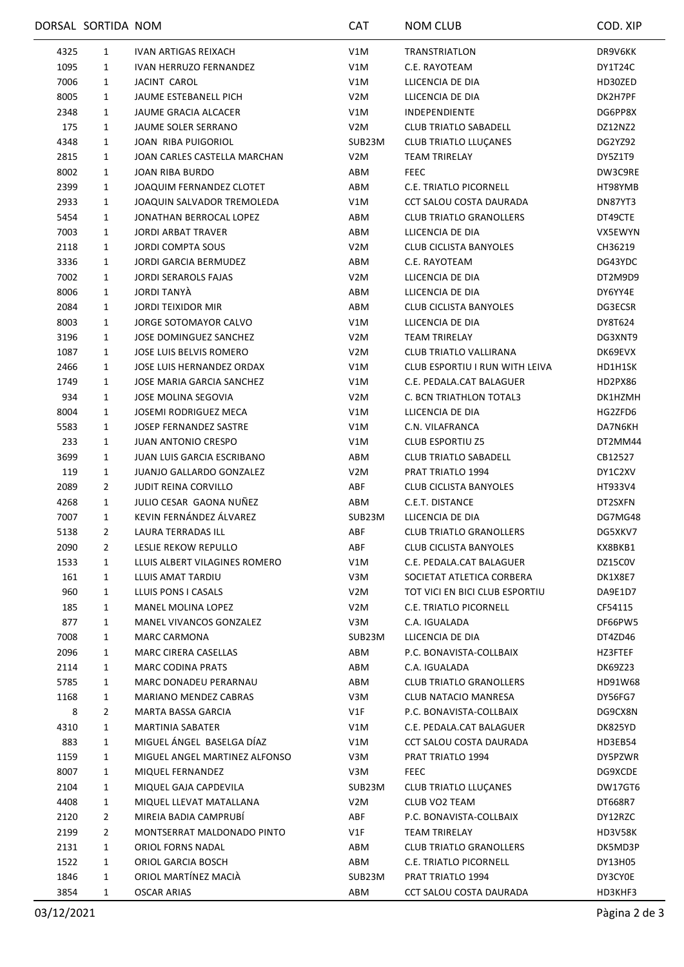|      | DORSAL SORTIDA NOM |                                   | <b>CAT</b>       | <b>NOM CLUB</b>                | COD. XIP       |
|------|--------------------|-----------------------------------|------------------|--------------------------------|----------------|
| 4325 | 1                  | <b>IVAN ARTIGAS REIXACH</b>       | V1M              | TRANSTRIATLON                  | DR9V6KK        |
| 1095 | 1                  | <b>IVAN HERRUZO FERNANDEZ</b>     | V1M              | C.E. RAYOTEAM                  | DY1T24C        |
| 7006 | 1                  | JACINT CAROL                      | V1M              | LLICENCIA DE DIA               | HD30ZED        |
| 8005 | 1                  | JAUME ESTEBANELL PICH             | V <sub>2</sub> M | LLICENCIA DE DIA               | DK2H7PF        |
| 2348 | 1                  | JAUME GRACIA ALCACER              | V1M              | <b>INDEPENDIENTE</b>           | DG6PP8X        |
| 175  | 1                  | JAUME SOLER SERRANO               | V <sub>2</sub> M | <b>CLUB TRIATLO SABADELL</b>   | DZ12NZ2        |
| 4348 | 1                  | JOAN RIBA PUIGORIOL               | SUB23M           | <b>CLUB TRIATLO LLUÇANES</b>   | DG2YZ92        |
| 2815 | 1                  | JOAN CARLES CASTELLA MARCHAN      | V <sub>2</sub> M | <b>TEAM TRIRELAY</b>           | DY5Z1T9        |
| 8002 | 1                  | JOAN RIBA BURDO                   | ABM              | <b>FEEC</b>                    | DW3C9RE        |
| 2399 | 1                  | JOAQUIM FERNANDEZ CLOTET          | ABM              | <b>C.E. TRIATLO PICORNELL</b>  | HT98YMB        |
| 2933 | 1                  | JOAQUIN SALVADOR TREMOLEDA        | V1M              | CCT SALOU COSTA DAURADA        | DN87YT3        |
| 5454 | 1                  | JONATHAN BERROCAL LOPEZ           | ABM              | <b>CLUB TRIATLO GRANOLLERS</b> | DT49CTE        |
| 7003 | 1                  | <b>JORDI ARBAT TRAVER</b>         | ABM              | LLICENCIA DE DIA               | VX5EWYN        |
| 2118 | 1                  | <b>JORDI COMPTA SOUS</b>          | V <sub>2</sub> M | <b>CLUB CICLISTA BANYOLES</b>  | CH36219        |
| 3336 | $\mathbf{1}$       | <b>JORDI GARCIA BERMUDEZ</b>      | ABM              | C.E. RAYOTEAM                  | DG43YDC        |
| 7002 | 1                  | <b>JORDI SERAROLS FAJAS</b>       | V <sub>2</sub> M | LLICENCIA DE DIA               | DT2M9D9        |
| 8006 | 1                  | JORDI TANYÀ                       | ABM              | LLICENCIA DE DIA               | DY6YY4E        |
| 2084 | 1                  | <b>JORDI TEIXIDOR MIR</b>         | ABM              | <b>CLUB CICLISTA BANYOLES</b>  | DG3ECSR        |
| 8003 | 1                  | JORGE SOTOMAYOR CALVO             | V1M              | LLICENCIA DE DIA               | DY8T624        |
| 3196 | 1                  | JOSE DOMINGUEZ SANCHEZ            | V <sub>2</sub> M | <b>TEAM TRIRELAY</b>           | DG3XNT9        |
| 1087 | 1                  | <b>JOSE LUIS BELVIS ROMERO</b>    | V <sub>2</sub> M | <b>CLUB TRIATLO VALLIRANA</b>  | DK69EVX        |
| 2466 | 1                  | JOSE LUIS HERNANDEZ ORDAX         | V1M              | CLUB ESPORTIU I RUN WITH LEIVA | HD1H1SK        |
| 1749 | 1                  | JOSE MARIA GARCIA SANCHEZ         | V1M              | C.E. PEDALA.CAT BALAGUER       | HD2PX86        |
| 934  | 1                  | JOSE MOLINA SEGOVIA               | V <sub>2</sub> M | C. BCN TRIATHLON TOTAL3        | DK1HZMH        |
|      |                    | JOSEMI RODRIGUEZ MECA             |                  | LLICENCIA DE DIA               | HG2ZFD6        |
| 8004 | $\mathbf{1}$       |                                   | V1M              |                                |                |
| 5583 | 1                  | JOSEP FERNANDEZ SASTRE            | V1M              | C.N. VILAFRANCA                | DA7N6KH        |
| 233  | 1                  | <b>JUAN ANTONIO CRESPO</b>        | V1M              | <b>CLUB ESPORTIU Z5</b>        | DT2MM44        |
| 3699 | 1                  | <b>JUAN LUIS GARCIA ESCRIBANO</b> | ABM              | <b>CLUB TRIATLO SABADELL</b>   | CB12527        |
| 119  | 1                  | <b>JUANJO GALLARDO GONZALEZ</b>   | V <sub>2</sub> M | PRAT TRIATLO 1994              | DY1C2XV        |
| 2089 | 2                  | <b>JUDIT REINA CORVILLO</b>       | ABF              | <b>CLUB CICLISTA BANYOLES</b>  | HT933V4        |
| 4268 | 1                  | JULIO CESAR GAONA NUÑEZ           | ABM              | C.E.T. DISTANCE                | DT2SXFN        |
| 7007 | 1                  | KEVIN FERNÁNDEZ ÁLVAREZ           | SUB23M           | LLICENCIA DE DIA               | DG7MG48        |
| 5138 | 2                  | LAURA TERRADAS ILL                | ABF              | <b>CLUB TRIATLO GRANOLLERS</b> | DG5XKV7        |
| 2090 | 2                  | LESLIE REKOW REPULLO              | ABF              | <b>CLUB CICLISTA BANYOLES</b>  | KX8BKB1        |
| 1533 | 1                  | LLUIS ALBERT VILAGINES ROMERO     | V1M              | C.E. PEDALA.CAT BALAGUER       | DZ15C0V        |
| 161  | 1                  | LLUIS AMAT TARDIU                 | V3M              | SOCIETAT ATLETICA CORBERA      | DK1X8E7        |
| 960  | 1                  | LLUIS PONS I CASALS               | V <sub>2</sub> M | TOT VICI EN BICI CLUB ESPORTIU | DA9E1D7        |
| 185  | 1                  | MANEL MOLINA LOPEZ                | V <sub>2</sub> M | C.E. TRIATLO PICORNELL         | CF54115        |
| 877  | 1                  | MANEL VIVANCOS GONZALEZ           | V3M              | C.A. IGUALADA                  | DF66PW5        |
| 7008 | 1                  | MARC CARMONA                      | SUB23M           | LLICENCIA DE DIA               | DT4ZD46        |
| 2096 | 1                  | <b>MARC CIRERA CASELLAS</b>       | ABM              | P.C. BONAVISTA-COLLBAIX        | HZ3FTEF        |
| 2114 | 1                  | MARC CODINA PRATS                 | ABM              | C.A. IGUALADA                  | DK69Z23        |
| 5785 | 1                  | MARC DONADEU PERARNAU             | ABM              | <b>CLUB TRIATLO GRANOLLERS</b> | HD91W68        |
| 1168 | 1                  | MARIANO MENDEZ CABRAS             | V3M              | CLUB NATACIO MANRESA           | DY56FG7        |
| 8    | 2                  | MARTA BASSA GARCIA                | V1F              | P.C. BONAVISTA-COLLBAIX        | DG9CX8N        |
| 4310 | 1                  | <b>MARTINIA SABATER</b>           | V1M              | C.E. PEDALA.CAT BALAGUER       | DK825YD        |
| 883  | 1                  | MIGUEL ÁNGEL BASELGA DÍAZ         | V1M              | CCT SALOU COSTA DAURADA        | HD3EB54        |
| 1159 | 1                  | MIGUEL ANGEL MARTINEZ ALFONSO     | V3M              | PRAT TRIATLO 1994              | DY5PZWR        |
| 8007 | 1                  | MIQUEL FERNANDEZ                  | V3M              | <b>FEEC</b>                    | DG9XCDE        |
| 2104 | 1                  | MIQUEL GAJA CAPDEVILA             | SUB23M           | CLUB TRIATLO LLUÇANES          | DW17GT6        |
| 4408 | 1                  | MIQUEL LLEVAT MATALLANA           | V <sub>2</sub> M | CLUB VO2 TEAM                  | DT668R7        |
| 2120 | 2                  | MIREIA BADIA CAMPRUBI             | ABF              | P.C. BONAVISTA-COLLBAIX        | DY12RZC        |
| 2199 | 2                  | MONTSERRAT MALDONADO PINTO        | V1F              | <b>TEAM TRIRELAY</b>           | <b>HD3V58K</b> |
| 2131 | $\mathbf{1}$       | ORIOL FORNS NADAL                 | ABM              | <b>CLUB TRIATLO GRANOLLERS</b> | DK5MD3P        |
| 1522 | 1                  | ORIOL GARCIA BOSCH                | ABM              | C.E. TRIATLO PICORNELL         | DY13H05        |
| 1846 | 1                  | ORIOL MARTÍNEZ MACIÀ              | SUB23M           | PRAT TRIATLO 1994              | DY3CY0E        |
| 3854 | 1                  | <b>OSCAR ARIAS</b>                | ABM              | CCT SALOU COSTA DAURADA        | HD3KHF3        |
|      |                    |                                   |                  |                                |                |